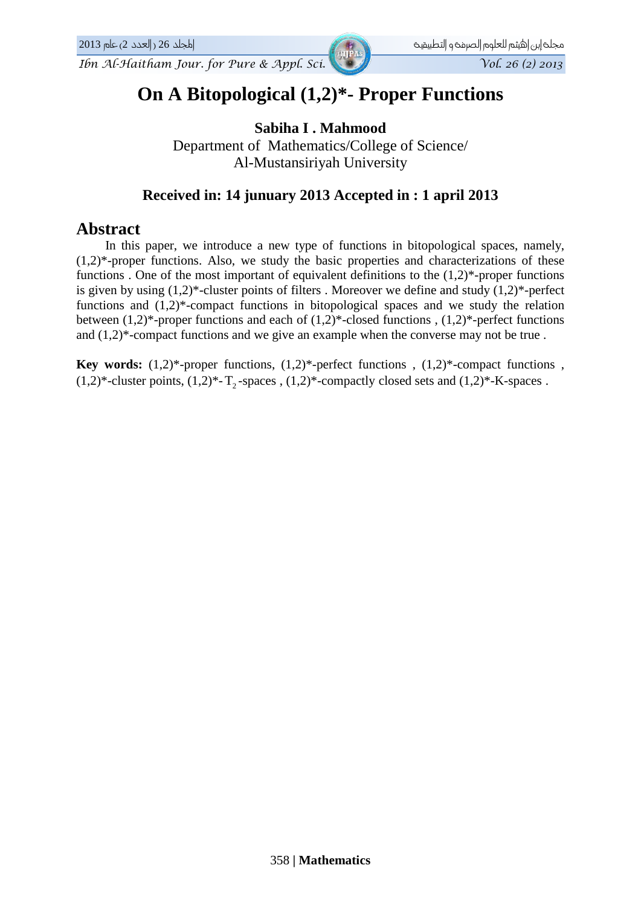# On A Bitopological  $(1,2)^*$ - Proper Functions

## Sabiha I. Mahmood

Department of Mathematics/College of Science/ Al-Mustansiriyah University

## Received in: 14 junuary 2013 Accepted in: 1 april 2013

## **Abstract**

In this paper, we introduce a new type of functions in bitopological spaces, namely,  $(1,2)^*$ -proper functions. Also, we study the basic properties and characterizations of these functions. One of the most important of equivalent definitions to the  $(1,2)^*$ -proper functions is given by using  $(1,2)^*$ -cluster points of filters. Moreover we define and study  $(1,2)^*$ -perfect functions and  $(1,2)^*$ -compact functions in bitopological spaces and we study the relation between  $(1,2)^*$ -proper functions and each of  $(1,2)^*$ -closed functions,  $(1,2)^*$ -perfect functions and  $(1,2)^*$ -compact functions and we give an example when the converse may not be true.

**Key words:**  $(1,2)^*$ -proper functions,  $(1,2)^*$ -perfect functions,  $(1,2)^*$ -compact functions,  $(1,2)^*$ -cluster points,  $(1,2)^*$ -T<sub>2</sub>-spaces,  $(1,2)^*$ -compactly closed sets and  $(1,2)^*$ -K-spaces.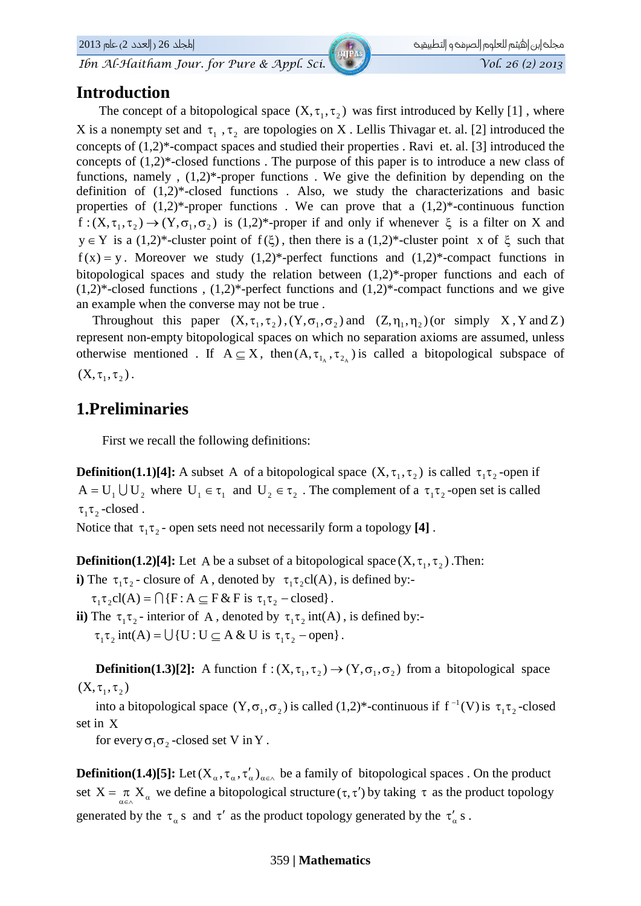|لطجلد 26 (العدد 2) عام 2013

**HIPAS** Ibn Al-Haitham Jour. for Pure & Appl. Sci.

## **Introduction**

The concept of a bitopological space  $(X, \tau_1, \tau_2)$  was first introduced by Kelly [1], where X is a nonempty set and  $\tau_1$ ,  $\tau_2$  are topologies on X. Lellis Thivagar et. al. [2] introduced the concepts of  $(1,2)^*$ -compact spaces and studied their properties. Ravi et. al. [3] introduced the concepts of  $(1,2)^*$ -closed functions. The purpose of this paper is to introduce a new class of functions, namely,  $(1,2)^*$ -proper functions. We give the definition by depending on the definition of  $(1,2)^*$ -closed functions. Also, we study the characterizations and basic properties of  $(1,2)^*$ -proper functions. We can prove that a  $(1,2)^*$ -continuous function  $f:(X,\tau_1,\tau_2)\to (Y,\sigma_1,\sigma_2)$  is  $(1,2)^*$ -proper if and only if whenever  $\xi$  is a filter on X and  $y \in Y$  is a  $(1,2)^*$ -cluster point of  $f(\xi)$ , then there is a  $(1,2)^*$ -cluster point x of  $\xi$  such that  $f(x) = y$ . Moreover we study (1,2)\*-perfect functions and (1,2)\*-compact functions in bitopological spaces and study the relation between  $(1,2)^*$ -proper functions and each of  $(1,2)^*$ -closed functions,  $(1,2)^*$ -perfect functions and  $(1,2)^*$ -compact functions and we give an example when the converse may not be true.

Throughout this paper  $(X, \tau_1, \tau_2)$ ,  $(Y, \sigma_1, \sigma_2)$  and  $(Z, \eta_1, \eta_2)$  (or simply X, Y and Z) represent non-empty bitopological spaces on which no separation axioms are assumed, unless otherwise mentioned. If  $A \subseteq X$ , then  $(A, \tau_1, \tau_2)$  is called a bitopological subspace of  $(X, \tau_1, \tau_2)$ .

## 1. Preliminaries

First we recall the following definitions:

**Definition(1.1)[4]:** A subset A of a bitopological space  $(X, \tau_1, \tau_2)$  is called  $\tau_1 \tau_2$ -open if  $A = U_1 \cup U_2$  where  $U_1 \in \tau_1$  and  $U_2 \in \tau_2$ . The complement of a  $\tau_1 \tau_2$ -open set is called  $\tau_1 \tau_2$ -closed.

Notice that  $\tau_1 \tau_2$ -open sets need not necessarily form a topology [4].

**Definition(1.2)[4]:** Let A be a subset of a bitopological space  $(X, \tau_1, \tau_2)$ . Then:

i) The  $\tau_1 \tau_2$ - closure of A, denoted by  $\tau_1 \tau_2$ cl(A), is defined by:-

 $\tau_1 \tau_2 \text{cl}(A) = \bigcap \{F : A \subseteq F \& F \text{ is } \tau_1 \tau_2 \text{ -closed}\}.$ 

ii) The  $\tau_1 \tau_2$ - interior of A, denoted by  $\tau_1 \tau_2$  int(A), is defined by:-

 $\tau_1 \tau_2$  int(A) =  $\bigcup$  {U : U  $\subseteq$  A & U is  $\tau_1 \tau_2$  - open}.

**Definition(1.3)[2]:** A function  $f:(X, \tau_1, \tau_2) \to (Y, \sigma_1, \sigma_2)$  from a bitopological space  $(X, \tau_1, \tau_2)$ 

into a bitopological space  $(Y, \sigma_1, \sigma_2)$  is called  $(1,2)^*$ -continuous if  $f^{-1}(V)$  is  $\tau_1 \tau_2$ -closed set in X

for every  $\sigma_1 \sigma_2$ -closed set V in Y.

**Definition(1.4)[5]:** Let  $(X_{\alpha}, \tau_{\alpha}, \tau_{\alpha}')_{\alpha \in \Lambda}$  be a family of bitopological spaces . On the product set  $X = \pi X_{\alpha}$  we define a bitopological structure  $(\tau, \tau')$  by taking  $\tau$  as the product topology generated by the  $\tau_{\alpha}$  s and  $\tau'$  as the product topology generated by the  $\tau'_{\alpha}$  s.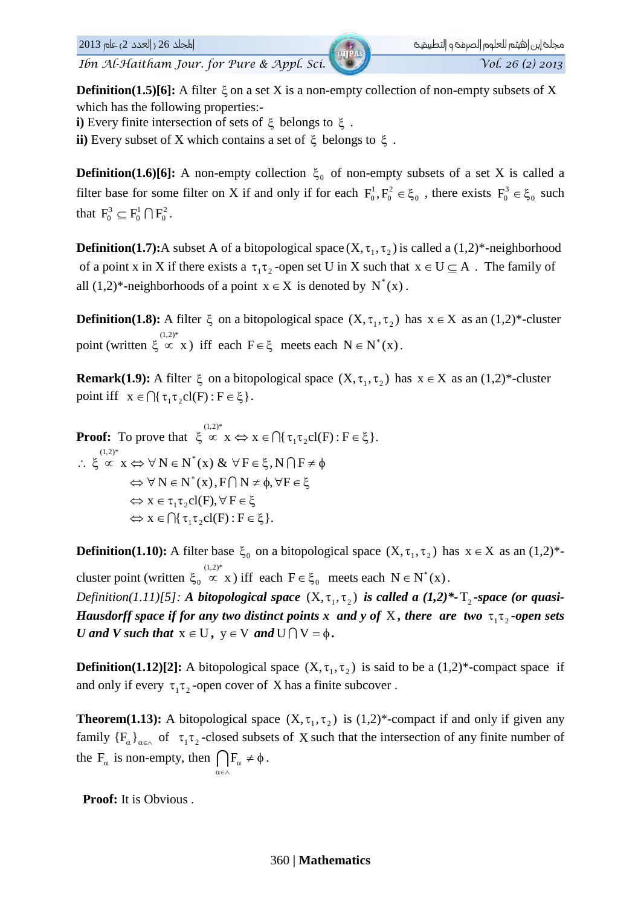**Definition(1.5)[6]:** A filter  $\xi$  on a set X is a non-empty collection of non-empty subsets of X which has the following properties:-

i) Every finite intersection of sets of  $\xi$  belongs to  $\xi$ .

ii) Every subset of X which contains a set of  $\xi$  belongs to  $\xi$ .

**Definition(1.6)[6]:** A non-empty collection  $\xi_0$  of non-empty subsets of a set X is called a filter base for some filter on X if and only if for each  $F_0^1, F_0^2 \in \xi_0$ , there exists  $F_0^3 \in \xi_0$  such that  $F_0^3 \subseteq F_0^1 \cap F_0^2$ .

**Definition(1.7):** A subset A of a bitopological space  $(X, \tau_1, \tau_2)$  is called a (1,2)\*-neighborhood of a point x in X if there exists a  $\tau_1 \tau_2$ -open set U in X such that  $x \in U \subseteq A$ . The family of all  $(1,2)^*$ -neighborhoods of a point  $x \in X$  is denoted by  $N^*(x)$ .

**Definition(1.8):** A filter  $\xi$  on a bitopological space  $(X, \tau_1, \tau_2)$  has  $x \in X$  as an  $(1,2)^*$ -cluster point (written  $\xi \propto x$ ) iff each  $F \in \xi$  meets each  $N \in N^*(x)$ .

**Remark(1.9):** A filter  $\xi$  on a bitopological space  $(X, \tau_1, \tau_2)$  has  $x \in X$  as an  $(1,2)^*$ -cluster point iff  $x \in \bigcap \{\tau, \tau, \text{cl}(F) : F \in \xi\}.$ 

**Proof:** To prove that  $\xi \propto x \Leftrightarrow x \in \bigcap \{\tau_1 \tau_2 \text{cl}(F) : F \in \xi\}.$  $\therefore \xi \propto x \Leftrightarrow \forall N \in N^*(x) \& \forall F \in \xi, N \cap F \neq \phi$  $\Leftrightarrow \forall N \in N^*(x), F \cap N \neq \emptyset, \forall F \in \xi$  $\Leftrightarrow$   $x \in \tau_1 \tau_2 \text{cl}(F), \forall F \in \xi$  $\Leftrightarrow$   $x \in \bigcap \{\tau, \tau, \text{cl}(F) : F \in \xi\}.$ 

**Definition(1.10):** A filter base  $\xi_0$  on a bitopological space  $(X, \tau_1, \tau_2)$  has  $x \in X$  as an  $(1,2)^*$ cluster point (written  $\xi_0 \propto x$ ) iff each  $F \in \xi_0$  meets each  $N \in N^*(x)$ .

Definition(1.11)[5]: A bitopological space  $(X, \tau_1, \tau_2)$  is called a  $(1,2)^*$ -T<sub>2</sub>-space (or quasi-Hausdorff space if for any two distinct points x and y of X, there are two  $\tau_1 \tau_2$ -open sets U and V such that  $x \in U$ ,  $y \in V$  and  $U \cap V = \emptyset$ .

**Definition(1.12)[2]:** A bitopological space  $(X, \tau_1, \tau_2)$  is said to be a (1,2)\*-compact space if and only if every  $\tau_1 \tau_2$ -open cover of X has a finite subcover.

**Theorem(1.13):** A bitopological space  $(X, \tau_1, \tau_2)$  is  $(1,2)^*$ -compact if and only if given any family  $\{F_{\alpha}\}_{{\alpha}\in{\wedge}}$  of  $\tau_1\tau_2$ -closed subsets of X such that the intersection of any finite number of the  $F_{\alpha}$  is non-empty, then  $\bigcap_{\alpha \in \wedge} F_{\alpha} \neq \emptyset$ .

**Proof:** It is Obvious.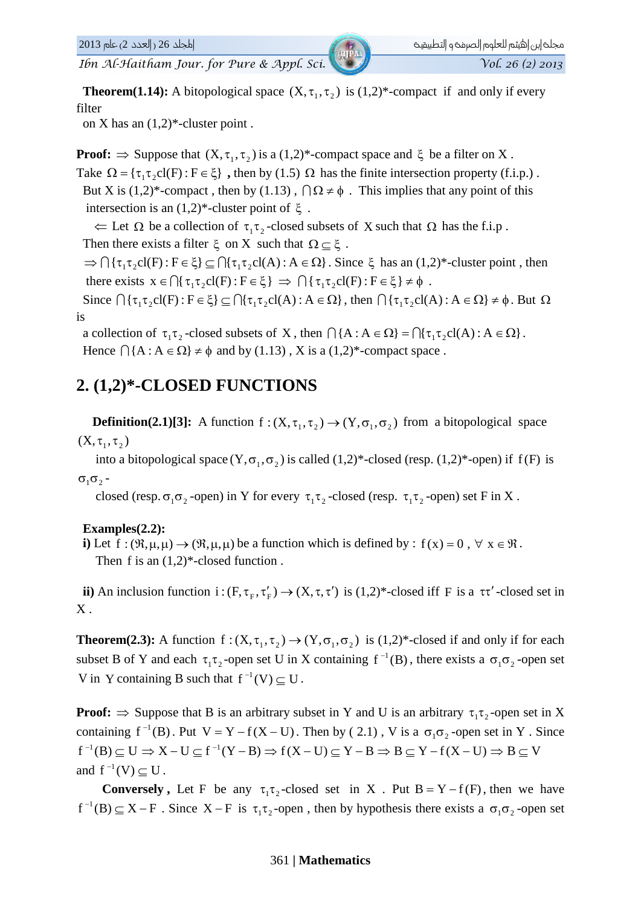**Theorem(1.14):** A bitopological space  $(X, \tau_1, \tau_2)$  is  $(1,2)^*$ -compact if and only if every filter

on X has an  $(1,2)^*$ -cluster point.

**Proof:**  $\Rightarrow$  Suppose that  $(X, \tau_1, \tau_2)$  is a  $(1,2)^*$ -compact space and  $\xi$  be a filter on X.

Take  $\Omega = {\tau_1 \tau_2 \text{cl}}(F) : F \in \xi$ , then by (1.5)  $\Omega$  has the finite intersection property (f.i.p.). But X is  $(1,2)^*$ -compact, then by  $(1.13)$ ,  $\bigcap \Omega \neq \emptyset$ . This implies that any point of this intersection is an  $(1,2)^*$ -cluster point of  $\xi$ .

 $\leftarrow$  Let  $\Omega$  be a collection of  $\tau_1 \tau_2$ -closed subsets of X such that  $\Omega$  has the f.i.p. Then there exists a filter  $\xi$  on X such that  $\Omega \subseteq \xi$ .

 $\Rightarrow \bigcap {\tau_1 \tau_2 cl(F) : F \in \xi} \subseteq \bigcap {\tau_1 \tau_2 cl(A) : A \in \Omega}.$  Since  $\xi$  has an  $(1,2)^*$ -cluster point, then there exists  $x \in \bigcap \{\tau_1\tau_2\text{cl}(F): F \in \xi\} \implies \bigcap \{\tau_1\tau_2\text{cl}(F): F \in \xi\} \neq \emptyset$ .

Since  $\bigcap {\tau_1 \tau_2 cl(F) : F \in \xi} \subseteq \bigcap {\tau_1 \tau_2 cl(A) : A \in \Omega}$ , then  $\bigcap {\tau_1 \tau_2 cl(A) : A \in \Omega} \neq \emptyset$ . But  $\Omega$ is

a collection of  $\tau_1 \tau_2$ -closed subsets of X, then  $\bigcap {\{A : A \in \Omega\}} = \bigcap {\{\tau_1 \tau_2 cl(A) : A \in \Omega\}}$ . Hence  $\bigcap \{A : A \in \Omega\} \neq \emptyset$  and by (1.13), X is a (1,2)\*-compact space.

## 2. (1,2)\*-CLOSED FUNCTIONS

**Definition(2.1)[3]:** A function  $f:(X, \tau_1, \tau_2) \to (Y, \sigma_1, \sigma_2)$  from a bitopological space  $(X, \tau_1, \tau_2)$ 

into a bitopological space  $(Y, \sigma_1, \sigma_2)$  is called  $(1,2)^*$ -closed (resp.  $(1,2)^*$ -open) if  $f(F)$  is  $\sigma_1 \sigma_2$ -

closed (resp.  $\sigma_1 \sigma_2$ -open) in Y for every  $\tau_1 \tau_2$ -closed (resp.  $\tau_1 \tau_2$ -open) set F in X.

### $Examples(2.2)$ :

i) Let  $f: (\Re, \mu, \mu) \to (\Re, \mu, \mu)$  be a function which is defined by :  $f(x) = 0$ ,  $\forall x \in \Re$ . Then f is an  $(1,2)^*$ -closed function.

ii) An inclusion function  $i:(F,\tau_{F},\tau'_{F}) \to (X,\tau,\tau')$  is  $(1,2)^*$ -closed iff F is a  $\tau\tau'$ -closed set in  $X$ .

**Theorem(2.3):** A function  $f:(X, \tau_1, \tau_2) \to (Y, \sigma_1, \sigma_2)$  is  $(1,2)^*$ -closed if and only if for each subset B of Y and each  $\tau_1 \tau_2$ -open set U in X containing  $f^{-1}(B)$ , there exists a  $\sigma_1 \sigma_2$ -open set V in Y containing B such that  $f^{-1}(V) \subseteq U$ .

**Proof:**  $\Rightarrow$  Suppose that B is an arbitrary subset in Y and U is an arbitrary  $\tau_1 \tau_2$ -open set in X containing  $f^{-1}(B)$ . Put  $V = Y - f(X - U)$ . Then by (2.1), V is a  $\sigma_1 \sigma_2$ -open set in Y. Since  $f^{-1}(B) \subset U \Rightarrow X-U \subset f^{-1}(Y-B) \Rightarrow f(X-U) \subset Y-B \Rightarrow B \subset Y-f(X-U) \Rightarrow B \subset V$ and  $f^{-1}(V) \subseteq U$ .

**Conversely**, Let F be any  $\tau_1 \tau_2$ -closed set in X. Put B = Y - f(F), then we have  $f^{-1}(B) \subseteq X - F$ . Since  $X - F$  is  $\tau_1 \tau_2$ -open, then by hypothesis there exists a  $\sigma_1 \sigma_2$ -open set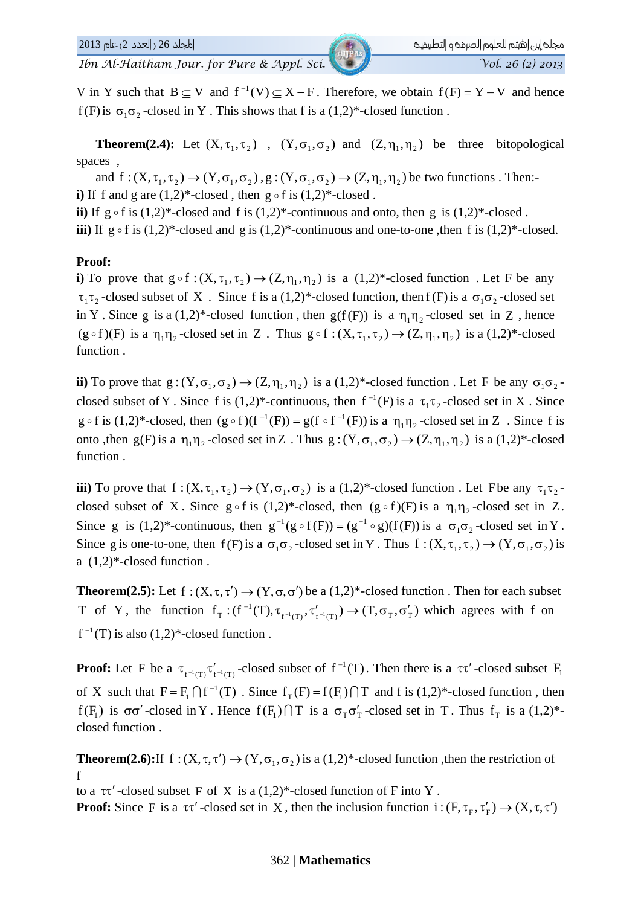V in Y such that  $B \subseteq V$  and  $f^{-1}(V) \subseteq X - F$ . Therefore, we obtain  $f(F) = Y - V$  and hence f(F) is  $\sigma_1 \sigma_2$ -closed in Y. This shows that f is a (1,2)\*-closed function.

**Theorem(2.4):** Let  $(X, \tau_1, \tau_2)$ ,  $(Y, \sigma_1, \sigma_2)$  and  $(Z, \eta_1, \eta_2)$  be three bitopological spaces.

and  $f:(X,\tau_1,\tau_2)\to (Y,\sigma_1,\sigma_2), g:(Y,\sigma_1,\sigma_2)\to (Z,\eta_1,\eta_2)$  be two functions. Then:i) If f and g are  $(1,2)^*$ -closed, then g of is  $(1,2)^*$ -closed. ii) If  $g \circ f$  is  $(1,2)^*$ -closed and f is  $(1,2)^*$ -continuous and onto, then g is  $(1,2)^*$ -closed.

iii) If  $g \circ f$  is (1,2)\*-closed and g is (1,2)\*-continuous and one-to-one, then f is (1,2)\*-closed.

#### Proof:

i) To prove that  $g \circ f : (X, \tau_1, \tau_2) \to (Z, \eta_1, \eta_2)$  is a  $(1,2)^*$ -closed function. Let F be any  $\tau_1 \tau_2$ -closed subset of X. Since f is a (1,2)\*-closed function, then f(F) is a  $\sigma_1 \sigma_2$ -closed set in Y. Since g is a  $(1,2)^*$ -closed function, then  $g(f(F))$  is a  $\eta_1\eta_2$ -closed set in Z, hence  $(g \circ f)(F)$  is a  $\eta_1 \eta_2$ -closed set in Z. Thus  $g \circ f : (X, \tau_1, \tau_2) \to (Z, \eta_1, \eta_2)$  is a  $(1,2)^*$ -closed function.

ii) To prove that  $g:(Y,\sigma_1,\sigma_2)\to (Z,\eta_1,\eta_2)$  is a  $(1,2)^*$ -closed function. Let F be any  $\sigma_1\sigma_2$ closed subset of Y. Since f is  $(1,2)^*$ -continuous, then  $f^{-1}(F)$  is a  $\tau_1 \tau_2$ -closed set in X. Since  $g \circ f$  is  $(1,2)^*$ -closed, then  $(g \circ f)(f^{-1}(F)) = g(f \circ f^{-1}(F))$  is a  $\eta_1 \eta_2$ -closed set in Z. Since f is onto ,then  $g(F)$  is a  $\eta_1 \eta_2$ -closed set in Z. Thus  $g:(Y, \sigma_1, \sigma_2) \to (Z, \eta_1, \eta_2)$  is a  $(1,2)^*$ -closed function.

iii) To prove that  $f:(X,\tau_1,\tau_2)\to (Y,\sigma_1,\sigma_2)$  is a  $(1,2)^*$ -closed function. Let Fbe any  $\tau_1\tau_2$ closed subset of X. Since  $g \circ f$  is  $(1,2)^*$ -closed, then  $(g \circ f)(F)$  is a  $\eta_1 \eta_2$ -closed set in Z. Since g is  $(1,2)^*$ -continuous, then  $g^{-1}(g \circ f(F)) = (g^{-1} \circ g)(f(F))$  is a  $\sigma_1 \sigma_2$ -closed set in Y. Since g is one-to-one, then  $f(F)$  is a  $\sigma_1 \sigma_2$ -closed set in Y. Thus  $f:(X, \tau_1, \tau_2) \to (Y, \sigma_1, \sigma_2)$  is a  $(1,2)^*$ -closed function.

**Theorem(2.5):** Let  $f:(X, \tau, \tau') \rightarrow (Y, \sigma, \sigma')$  be a  $(1,2)^*$ -closed function. Then for each subset T of Y, the function  $f_{T}$ :  $(f^{-1}(T), \tau_{f^{-1}(T)}, \tau'_{f^{-1}(T)}) \rightarrow (T, \sigma_{T}, \sigma'_{T})$  which agrees with f on  $f^{-1}(T)$  is also  $(1,2)^*$ -closed function.

**Proof:** Let F be a  $\tau_{f^{-1}(T)} \tau'_{f^{-1}(T)}$ -closed subset of  $f^{-1}(T)$ . Then there is a  $\tau \tau'$ -closed subset F<sub>1</sub> of X such that  $F = F_1 \cap f^{-1}(T)$ . Since  $f_T(F) = f(F_1) \cap T$  and f is  $(1,2)^*$ -closed function, then  $f(F_1)$  is  $\sigma\sigma'$ -closed in Y. Hence  $f(F_1) \cap T$  is a  $\sigma_T \sigma'_T$ -closed set in T. Thus  $f_T$  is a  $(1,2)^*$ closed function.

**Theorem(2.6):** If  $f:(X, \tau, \tau') \to (Y, \sigma_1, \sigma_2)$  is a  $(1,2)^*$ -closed function, then the restriction of  $\mathbf{f}$ 

to a  $\tau\tau'$ -closed subset F of X is a  $(1,2)^*$ -closed function of F into Y.

**Proof:** Since F is a  $\tau\tau'$ -closed set in X, then the inclusion function  $i:(F, \tau_{F}, \tau'_{F}) \to (X, \tau, \tau')$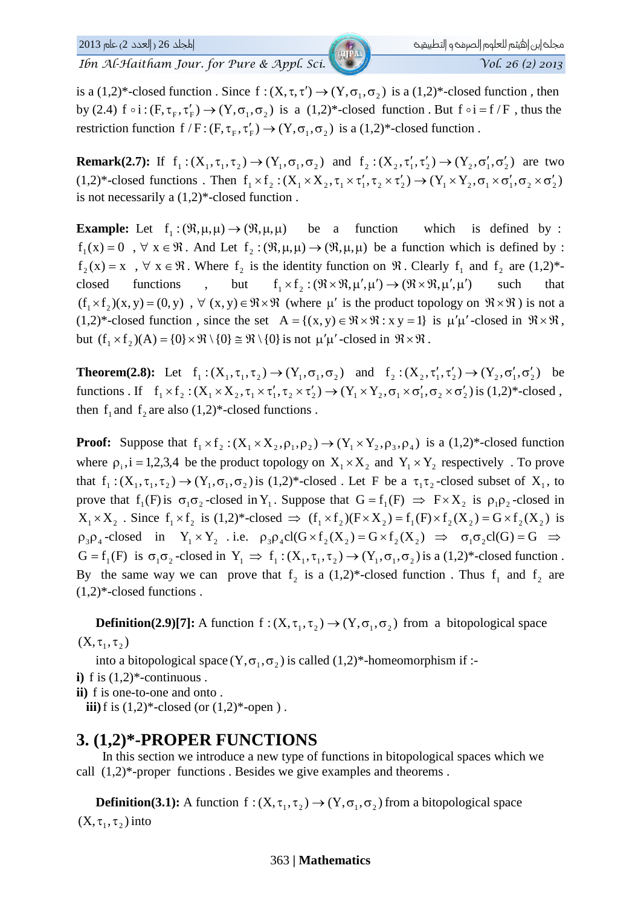is a  $(1,2)^*$ -closed function. Since  $f:(X,\tau,\tau')\to (Y,\sigma_1,\sigma_2)$  is a  $(1,2)^*$ -closed function, then by (2.4)  $f \circ i : (F, \tau_F, \tau_F') \to (Y, \sigma_1, \sigma_2)$  is a (1,2)\*-closed function. But  $f \circ i = f/F$ , thus the restriction function  $f/F: (F, \tau_{E}, \tau_{E}') \rightarrow (Y, \sigma_{1}, \sigma_{2})$  is a  $(1,2)^{*}$ -closed function.

**Remark(2.7):** If  $f_1:(X_1,\tau_1,\tau_2)\to (Y_1,\sigma_1,\sigma_2)$  and  $f_2:(X_2,\tau'_1,\tau'_2)\to (Y_2,\sigma'_1,\sigma'_2)$  are two  $(1,2)^*$ -closed functions. Then  $f_1 \times f_2$ :  $(X_1 \times X_2, \tau_1 \times \tau_1', \tau_2 \times \tau_2') \rightarrow (Y_1 \times Y_2, \sigma_1 \times \sigma_1', \sigma_2 \times \sigma_2')$ is not necessarily a  $(1,2)^*$ -closed function.

**Example:** Let  $f_1: (\Re, \mu, \mu) \to (\Re, \mu, \mu)$  be a function which is defined by:  $f_1(x) = 0$ ,  $\forall x \in \mathcal{R}$ . And Let  $f_2: (\mathcal{R}, \mu, \mu) \to (\mathcal{R}, \mu, \mu)$  be a function which is defined by:  $f_2(x) = x$ ,  $\forall x \in \mathcal{R}$ . Where  $f_2$  is the identity function on  $\mathcal{R}$ . Clearly  $f_1$  and  $f_2$  are  $(1,2)^*$  $f_1 \times f_2 : (\mathfrak{R} \times \mathfrak{R}, \mu', \mu') \to (\mathfrak{R} \times \mathfrak{R}, \mu', \mu')$ closed functions , but such that  $(f_1 \times f_2)(x, y) = (0, y)$ ,  $\forall$   $(x, y) \in \mathbb{R} \times \mathbb{R}$  (where  $\mu'$  is the product topology on  $\mathbb{R} \times \mathbb{R}$ ) is not a  $(1,2)^*$ -closed function, since the set  $A = \{(x,y) \in \mathbb{R} \times \mathbb{R} : x \in \mathbb{R} \}$  is  $\mu'\mu'$ -closed in  $\mathbb{R} \times \mathbb{R}$ , but  $(f_1 \times f_2)(A) = \{0\} \times \mathcal{R} \setminus \{0\} \cong \mathcal{R} \setminus \{0\}$  is not  $\mu'\mu'$ -closed in  $\mathcal{R} \times \mathcal{R}$ .

**Theorem(2.8):** Let  $f_1: (X_1, \tau_1, \tau_2) \to (Y_1, \sigma_1, \sigma_2)$  and  $f_2: (X_2, \tau_1', \tau_2') \to (Y_2, \sigma_1', \sigma_2')$  be functions . If  $f_1 \times f_2$ :  $(X_1 \times X_2, \tau_1 \times \tau_1', \tau_2 \times \tau_2') \rightarrow (Y_1 \times Y_2, \sigma_1 \times \sigma_1', \sigma_2 \times \sigma_2')$  is  $(1,2)^*$ -closed, then  $f_1$  and  $f_2$  are also  $(1,2)^*$ -closed functions.

**Proof:** Suppose that  $f_1 \times f_2$ :  $(X_1 \times X_2, \rho_1, \rho_2) \to (Y_1 \times Y_2, \rho_3, \rho_4)$  is a  $(1,2)^*$ -closed function where  $\rho_i$ , i = 1,2,3,4 be the product topology on  $X_1 \times X_2$  and  $Y_1 \times Y_2$  respectively. To prove that  $f_1:(X_1,\tau_1,\tau_2)\to (Y_1,\sigma_1,\sigma_2)$  is  $(1,2)^*$ -closed. Let F be a  $\tau_1\tau_2$ -closed subset of  $X_1$ , to prove that  $f_1(F)$  is  $\sigma_1 \sigma_2$ -closed in Y<sub>1</sub>. Suppose that  $G = f_1(F) \implies F \times X_2$  is  $\rho_1 \rho_2$ -closed in  $X_1 \times X_2$ . Since  $f_1 \times f_2$  is  $(1,2)^*$ -closed  $\Rightarrow$   $(f_1 \times f_2)(F \times X_2) = f_1(F) \times f_2(X_2) = G \times f_2(X_2)$  is  $\rho_3 \rho_4$ -closed in  $Y_1 \times Y_2$  i.e.  $\rho_3 \rho_4 cl(G \times f_2(X_2) = G \times f_2(X_2) \Rightarrow \sigma_1 \sigma_2 cl(G) = G \Rightarrow$  $G = f_1(F)$  is  $\sigma_1 \sigma_2$ -closed in  $Y_1 \Rightarrow f_1 : (X_1, \tau_1, \tau_2) \rightarrow (Y_1, \sigma_1, \sigma_2)$  is a  $(1,2)^*$ -closed function. By the same way we can prove that  $f_2$  is a  $(1,2)^*$ -closed function. Thus  $f_1$  and  $f_2$  are  $(1,2)^*$ -closed functions.

**Definition(2.9)[7]:** A function  $f:(X, \tau_1, \tau_2) \to (Y, \sigma_1, \sigma_2)$  from a bitopological space  $(X, \tau_1, \tau_2)$ 

into a bitopological space  $(Y, \sigma_1, \sigma_2)$  is called  $(1,2)^*$ -homeomorphism if :-

i) f is  $(1,2)^*$ -continuous.

**ii**) f is one-to-one and onto.

**iii**) f is  $(1,2)^*$ -closed (or  $(1,2)^*$ -open).

## 3. (1,2)\*-PROPER FUNCTIONS

In this section we introduce a new type of functions in bitopological spaces which we call  $(1,2)$ <sup>\*</sup>-proper functions. Besides we give examples and theorems.

**Definition(3.1):** A function  $f:(X, \tau_1, \tau_2) \to (Y, \sigma_1, \sigma_2)$  from a bitopological space  $(X, \tau_1, \tau_2)$  into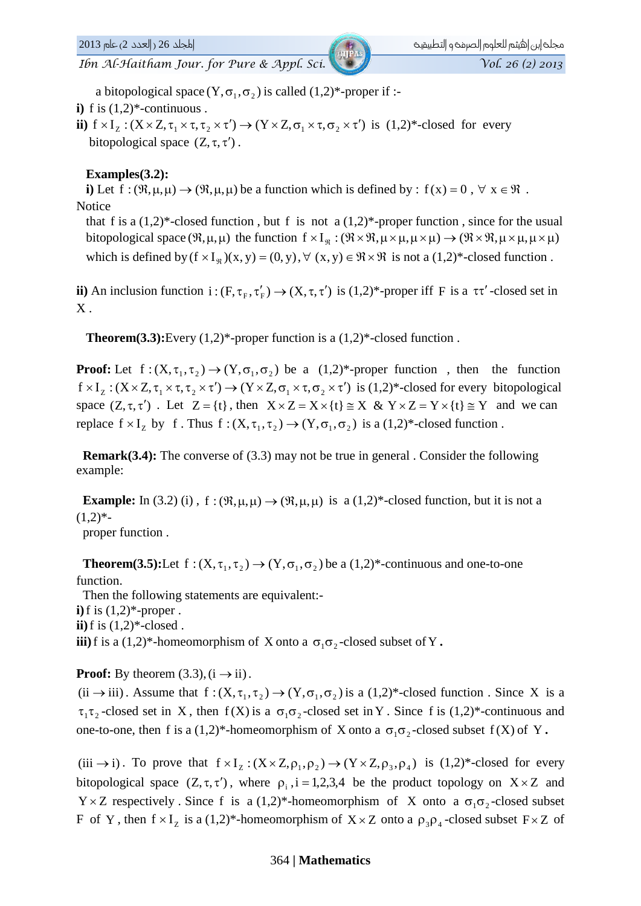a bitopological space  $(Y, \sigma_1, \sigma_2)$  is called  $(1,2)^*$ -proper if :-

### i) f is  $(1,2)$ \*-continuous.

ii)  $f \times I_{7}$ :  $(X \times Z, \tau_1 \times \tau, \tau_2 \times \tau') \rightarrow (Y \times Z, \sigma_1 \times \tau, \sigma_2 \times \tau')$  is  $(1,2)^*$ -closed for every bitopological space  $(Z, \tau, \tau')$ .

## $Examples(3.2)$ :

i) Let  $f:(\mathfrak{R},\mu,\mu) \to (\mathfrak{R},\mu,\mu)$  be a function which is defined by :  $f(x) = 0$ ,  $\forall x \in \mathfrak{R}$ . Notice

that f is a  $(1,2)^*$ -closed function, but f is not a  $(1,2)^*$ -proper function, since for the usual bitopological space  $(\mathfrak{R}, \mu, \mu)$  the function  $f \times I_{\mathfrak{R}} : (\mathfrak{R} \times \mathfrak{R}, \mu \times \mu, \mu \times \mu) \to (\mathfrak{R} \times \mathfrak{R}, \mu \times \mu, \mu \times \mu)$ which is defined by  $(f \times I_w)(x, y) = (0, y), \forall (x, y) \in \mathcal{R} \times \mathcal{R}$  is not a  $(1,2)^*$ -closed function.

ii) An inclusion function  $i:(F,\tau_{F},\tau'_{F}) \to (X,\tau,\tau')$  is  $(1,2)^*$ -proper iff F is a  $\tau\tau'$ -closed set in  $X$  .

**Theorem(3.3):** Every  $(1,2)^*$ -proper function is a  $(1,2)^*$ -closed function.

**Proof:** Let  $f:(X, \tau_1, \tau_2) \to (Y, \sigma_1, \sigma_2)$  be a  $(1,2)^*$ -proper function, then the function  $f \times I_z : (X \times Z, \tau_1 \times \tau, \tau_2 \times \tau') \rightarrow (Y \times Z, \sigma_1 \times \tau, \sigma_2 \times \tau')$  is (1,2)\*-closed for every bitopological space  $(Z, \tau, \tau')$ . Let  $Z = \{t\}$ , then  $X \times Z = X \times \{t\} \cong X$  &  $Y \times Z = Y \times \{t\} \cong Y$  and we can replace  $f \times I_z$  by f. Thus  $f:(X, \tau_1, \tau_2) \to (Y, \sigma_1, \sigma_2)$  is a  $(1,2)^*$ -closed function.

**Remark(3.4):** The converse of (3.3) may not be true in general . Consider the following example:

**Example:** In (3.2) (i),  $f:(\mathfrak{R},\mu,\mu) \to (\mathfrak{R},\mu,\mu)$  is a (1,2)\*-closed function, but it is not a  $(1,2)^{*}$ -

proper function.

**Theorem(3.5):**Let  $f:(X, \tau_1, \tau_2) \to (Y, \sigma_1, \sigma_2)$  be a  $(1,2)^*$ -continuous and one-to-one

### function.

Then the following statements are equivalent:i) f is  $(1,2)$ \*-proper. ii) f is  $(1,2)^*$ -closed. iii) f is a  $(1,2)^*$ -homeomorphism of X onto a  $\sigma_1 \sigma_2$ -closed subset of Y.

### **Proof:** By theorem  $(3.3)$ ,  $(i \rightarrow ii)$ .

(ii  $\rightarrow$  iii). Assume that  $f:(X, \tau_1, \tau_2) \rightarrow (Y, \sigma_1, \sigma_2)$  is a  $(1,2)^*$ -closed function. Since X is a  $\tau_1 \tau_2$ -closed set in X, then  $f(X)$  is a  $\sigma_1 \sigma_2$ -closed set in Y. Since f is  $(1,2)^*$ -continuous and one-to-one, then f is a  $(1,2)^*$ -homeomorphism of X onto a  $\sigma_1 \sigma_2$ -closed subset f(X) of Y.

(iii  $\rightarrow$  i). To prove that  $f \times I_z$ :  $(X \times Z, \rho_1, \rho_2) \rightarrow (Y \times Z, \rho_3, \rho_4)$  is  $(1,2)^*$ -closed for every bitopological space  $(Z, \tau, \tau')$ , where  $\rho_i$ ,  $i = 1,2,3,4$  be the product topology on  $X \times Z$  and Y × Z respectively. Since f is a  $(1,2)^*$ -homeomorphism of X onto a  $\sigma_1 \sigma_2$ -closed subset F of Y, then  $f \times I_z$  is a (1,2)\*-homeomorphism of  $X \times Z$  onto a  $\rho_3 \rho_4$ -closed subset  $F \times Z$  of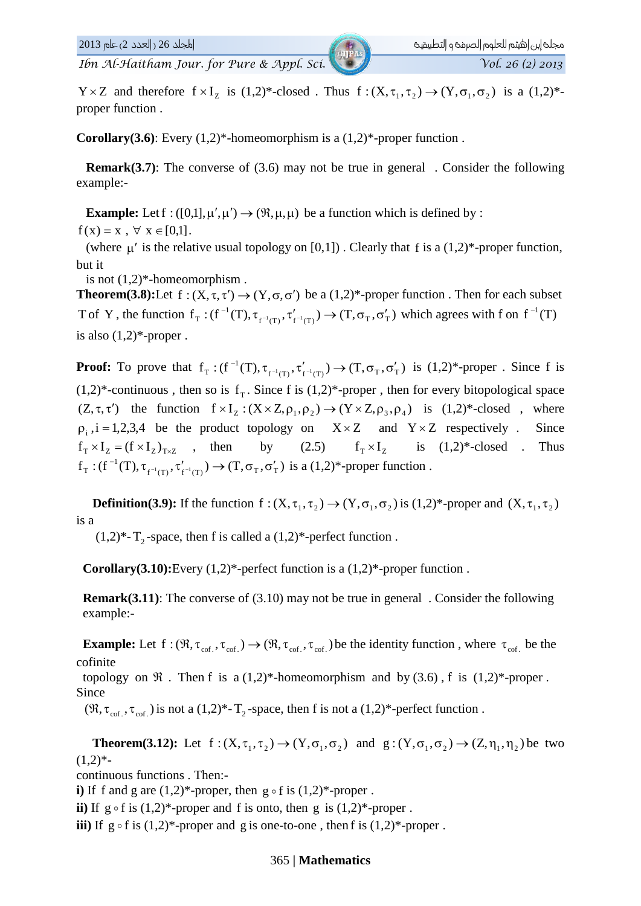$Y \times Z$  and therefore  $f \times I_z$  is  $(1,2)^*$ -closed. Thus  $f:(X,\tau_1,\tau_2) \to (Y,\sigma_1,\sigma_2)$  is a  $(1,2)^*$ proper function.

**Corollary**(3.6): Every  $(1,2)^*$ -homeomorphism is a  $(1,2)^*$ -proper function.

**Remark(3.7):** The converse of (3.6) may not be true in general . Consider the following example:-

**Example:** Let  $f : ([0,1], \mu', \mu') \to (\Re, \mu, \mu)$  be a function which is defined by :

 $f(x) = x$ ,  $\forall x \in [0,1]$ .

(where  $\mu'$  is the relative usual topology on [0,1]). Clearly that f is a (1,2)\*-proper function, but it

is not  $(1,2)^*$ -homeomorphism.

**Theorem(3.8):** Let  $f:(X, \tau, \tau') \to (Y, \sigma, \sigma')$  be a  $(1,2)^*$ -proper function. Then for each subset T of Y, the function  $f_T: (f^{-1}(T), \tau_{f^{-1}(T)}, \tau'_{f^{-1}(T)}) \to (T, \sigma_T, \sigma'_T)$  which agrees with f on  $f^{-1}(T)$ is also  $(1,2)^*$ -proper.

**Proof:** To prove that  $f_T: (f^{-1}(T), \tau_{f^{-1}(T)}, \tau'_{f^{-1}(T)}) \to (T, \sigma_T, \sigma'_T)$  is  $(1,2)^*$ -proper. Since f is  $(1,2)^*$ -continuous, then so is  $f<sub>T</sub>$ . Since f is  $(1,2)^*$ -proper, then for every bitopological space  $(Z, \tau, \tau')$  the function  $f \times I_z : (X \times Z, \rho_1, \rho_2) \to (Y \times Z, \rho_3, \rho_4)$  is  $(1,2)^*$ -closed, where  $\rho_i$ ,  $i = 1,2,3,4$  be the product topology on  $X \times Z$  and  $Y \times Z$  respectively. Since by (2.5)  $f_{T} \times I_{Z}$  is  $(1,2)^{*}$ -closed Thus  $f_{T} \times I_{Z} = (f \times I_{Z})_{T \times Z}$ , then  $f_T: (f^{-1}(T), \tau_{f^{-1}(T)}, \tau'_{f^{-1}(T)}) \to (T, \sigma_T, \sigma'_T)$  is a  $(1,2)^*$ -proper function.

**Definition(3.9):** If the function  $f:(X, \tau_1, \tau_2) \to (Y, \sigma_1, \sigma_2)$  is  $(1,2)^*$ -proper and  $(X, \tau_1, \tau_2)$ is a

 $(1,2)^*$ -T<sub>2</sub>-space, then f is called a  $(1,2)^*$ -perfect function.

**Corollary**(3.10): Every  $(1,2)^*$ -perfect function is a  $(1,2)^*$ -proper function.

**Remark(3.11)**: The converse of (3.10) may not be true in general. Consider the following example:-

**Example:** Let  $f: (\Re, \tau_{\text{cor}}, \tau_{\text{cor}}) \to (\Re, \tau_{\text{cor}}, \tau_{\text{cor}})$  be the identity function, where  $\tau_{\text{cor}}$  be the cofinite

topology on  $\Re$ . Then f is a  $(1,2)^*$ -homeomorphism and by  $(3.6)$ , f is  $(1,2)^*$ -proper. Since

 $(\Re, \tau_{\text{cor}}, \tau_{\text{cor}})$  is not a  $(1,2)^*$ -T<sub>2</sub>-space, then f is not a  $(1,2)^*$ -perfect function.

**Theorem(3.12):** Let  $f:(X, \tau_1, \tau_2) \to (Y, \sigma_1, \sigma_2)$  and  $g:(Y, \sigma_1, \sigma_2) \to (Z, \eta_1, \eta_2)$  be two  $(1.2)^{*}$ -

continuous functions. Then:-

i) If f and g are  $(1,2)^*$ -proper, then  $g \circ f$  is  $(1,2)^*$ -proper.

ii) If  $g \circ f$  is  $(1,2)^*$ -proper and f is onto, then g is  $(1,2)^*$ -proper.

iii) If  $g \circ f$  is  $(1,2)^*$ -proper and g is one-to-one, then f is  $(1,2)^*$ -proper.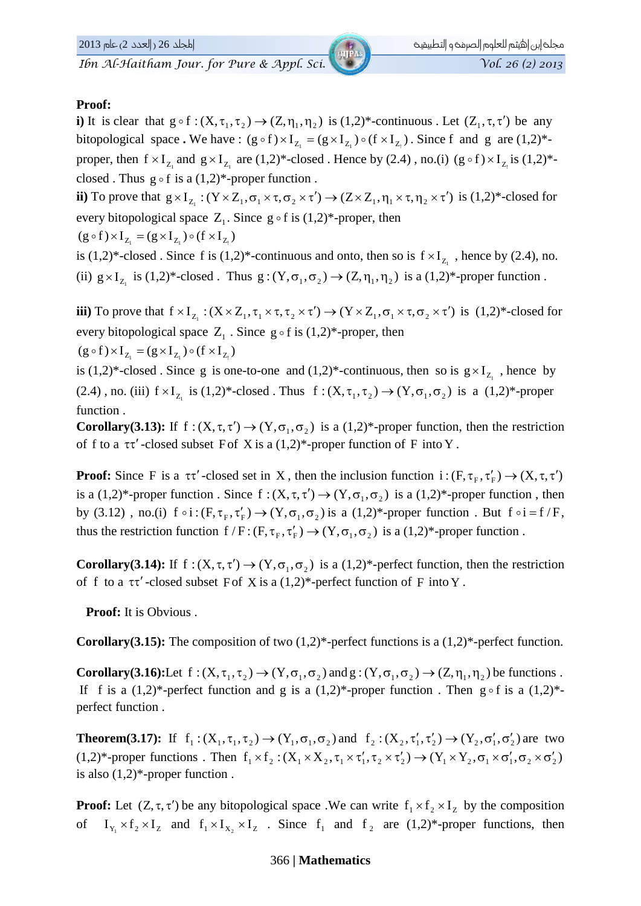#### Proof:

i) It is clear that  $g \circ f : (X, \tau_1, \tau_2) \to (Z, \eta_1, \eta_2)$  is  $(1,2)^*$ -continuous. Let  $(Z_1, \tau, \tau')$  be any bitopological space. We have:  $(g \circ f) \times I_{Z_i} = (g \times I_{Z_i}) \circ (f \times I_{Z_i})$ . Since f and g are  $(1,2)^*$ proper, then  $f \times I_{Z}$  and  $g \times I_{Z}$  are  $(1,2)^*$ -closed. Hence by  $(2.4)$ , no.(i)  $(g \circ f) \times I_{Z}$  is  $(1,2)^*$ closed. Thus  $g \circ f$  is a  $(1,2)^*$ -proper function.

ii) To prove that  $g \times I_z$ :  $(Y \times Z_1, \sigma_1 \times \tau, \sigma_2 \times \tau') \rightarrow (Z \times Z_1, \eta_1 \times \tau, \eta_2 \times \tau')$  is (1,2)\*-closed for every bitopological space  $Z_1$ . Since  $g \circ f$  is  $(1,2)^*$ -proper, then  $(g \circ f) \times I_{Z_1} = (g \times I_{Z_1}) \circ (f \times I_{Z_1})$ 

is  $(1,2)^*$ -closed. Since f is  $(1,2)^*$ -continuous and onto, then so is  $f \times I_{Z_{1}}$ , hence by  $(2.4)$ , no. (ii)  $g \times I_{Z_i}$  is (1,2)\*-closed. Thus  $g:(Y, \sigma_1, \sigma_2) \rightarrow (Z, \eta_1, \eta_2)$  is a (1,2)\*-proper function.

iii) To prove that  $f \times I_{Z_1} : (X \times Z_1, \tau_1 \times \tau, \tau_2 \times \tau') \to (Y \times Z_1, \sigma_1 \times \tau, \sigma_2 \times \tau')$  is  $(1,2)^*$ -closed for every bitopological space  $Z_1$ . Since  $g \circ f$  is  $(1,2)^*$ -proper, then  $(g \circ f) \times I_{Z_i} = (g \times I_{Z_i}) \circ (f \times I_{Z_i})$ 

is (1,2)\*-closed. Since g is one-to-one and (1,2)\*-continuous, then so is  $g \times I_{Z}$ , hence by  $(2.4)$ , no. (iii)  $f \times I_{Z}$  is  $(1,2)^*$ -closed. Thus  $f:(X,\tau_1,\tau_2) \to (Y,\sigma_1,\sigma_2)$  is a  $(1,2)^*$ -proper function.

**Corollary**(3.13): If  $f:(X, \tau, \tau') \to (Y, \sigma_1, \sigma_2)$  is a  $(1,2)^*$ -proper function, then the restriction of f to a  $\tau\tau'$ -closed subset Fof X is a  $(1,2)^*$ -proper function of F into Y.

**Proof:** Since F is a  $\tau\tau'$ -closed set in X, then the inclusion function  $i:(F, \tau_{F}, \tau'_{F}) \to (X, \tau, \tau')$ is a  $(1,2)^*$ -proper function. Since  $f:(X,\tau,\tau')\to (Y,\sigma_1,\sigma_2)$  is a  $(1,2)^*$ -proper function, then by (3.12), no.(i)  $f \circ i : (F, \tau_F, \tau_F') \to (Y, \sigma_1, \sigma_2)$  is a  $(1,2)^*$ -proper function. But  $f \circ i = f/F$ , thus the restriction function  $f/F: (F, \tau_F, \tau_F) \to (Y, \sigma_1, \sigma_2)$  is a  $(1,2)^*$ -proper function.

**Corollary**(3.14): If  $f:(X, \tau, \tau') \to (Y, \sigma_1, \sigma_2)$  is a  $(1,2)^*$ -perfect function, then the restriction of f to a  $\tau\tau'$ -closed subset Fof X is a  $(1,2)^*$ -perfect function of F into Y.

**Proof:** It is Obvious.

**Corollary**(3.15): The composition of two  $(1,2)^*$ -perfect functions is a  $(1,2)^*$ -perfect function.

**Corollary**(3.16):Let  $f:(X, \tau_1, \tau_2) \to (Y, \sigma_1, \sigma_2)$  and  $g:(Y, \sigma_1, \sigma_2) \to (Z, \eta_1, \eta_2)$  be functions. If f is a  $(1,2)^*$ -perfect function and g is a  $(1,2)^*$ -proper function. Then g of is a  $(1,2)^*$ perfect function.

**Theorem(3.17):** If  $f_1:(X_1,\tau_1,\tau_2) \to (Y_1,\sigma_1,\sigma_2)$  and  $f_2:(X_2,\tau'_1,\tau'_2) \to (Y_2,\sigma'_1,\sigma'_2)$  are two  $(1,2)^*$ -proper functions. Then  $f_1 \times f_2$ :  $(X_1 \times X_2, \tau_1 \times \tau_1', \tau_2 \times \tau_2') \rightarrow (Y_1 \times Y_2, \sigma_1 \times \sigma_1', \sigma_2 \times \sigma_2')$ is also  $(1,2)^*$ -proper function.

**Proof:** Let  $(Z, \tau, \tau')$  be any bitopological space. We can write  $f_1 \times f_2 \times I_z$  by the composition  $I_{Y_1} \times f_2 \times I_Z$  and  $f_1 \times I_{X_2} \times I_Z$ . Since  $f_1$  and  $f_2$  are  $(1,2)^*$ -proper functions, then of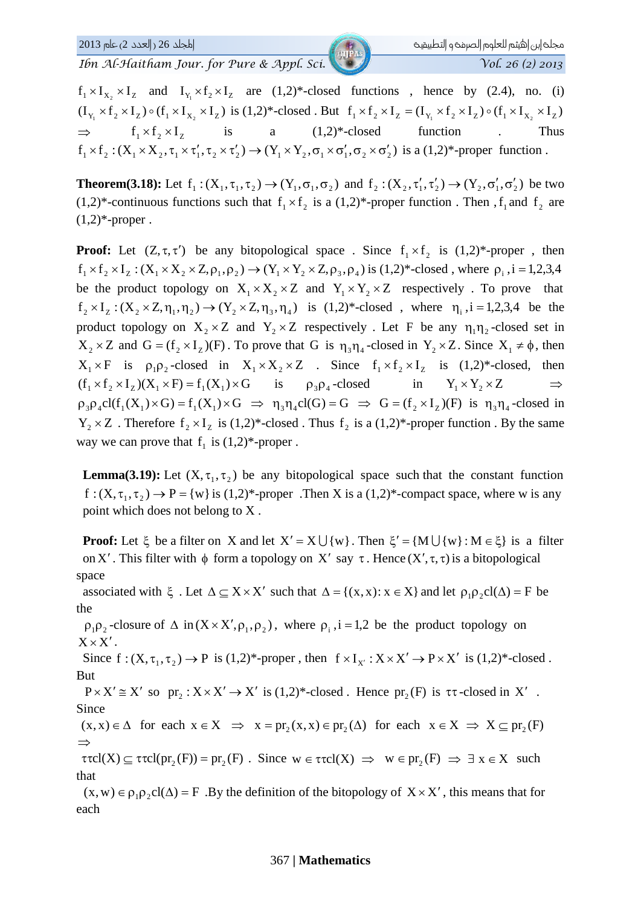$f_1 \times I_{X_2} \times I_Z$  and  $I_X \times f_2 \times I_Z$  are  $(1,2)^*$ -closed functions, hence by  $(2.4)$ , no. (i)  $(I_{Y_1} \times f_2 \times I_Z) \circ (f_1 \times I_{X_2} \times I_Z)$  is  $(1,2)^*$ -closed . But  $f_1 \times f_2 \times I_Z = (I_{Y_1} \times f_2 \times I_Z) \circ (f_1 \times I_{X_2} \times I_Z)$  $\Rightarrow$  f<sub>1</sub> × f<sub>2</sub> × I<sub>7</sub> is a (1,2)<sup>\*</sup>-closed function **Thus**  $f_1 \times f_2$ :  $(X_1 \times X_2, \tau_1 \times \tau_1', \tau_2 \times \tau_2') \rightarrow (Y_1 \times Y_2, \sigma_1 \times \sigma_1', \sigma_2 \times \sigma_2')$  is a  $(1,2)^*$ -proper function.

**Theorem(3.18):** Let  $f_1$ :  $(X_1, \tau_1, \tau_2) \rightarrow (Y_1, \sigma_1, \sigma_2)$  and  $f_2$ :  $(X_2, \tau'_1, \tau'_2) \rightarrow (Y_2, \sigma'_1, \sigma'_2)$  be two  $(1,2)^*$ -continuous functions such that  $f_1 \times f_2$  is a  $(1,2)^*$ -proper function. Then  $f_1$  and  $f_2$  are  $(1,2)$ \*-proper.

**Proof:** Let  $(Z, \tau, \tau')$  be any bitopological space. Since  $f_1 \times f_2$  is  $(1,2)^*$ -proper, then  $f_1 \times f_2 \times I_z$ :  $(X_1 \times X_2 \times Z, \rho_1, \rho_2) \rightarrow (Y_1 \times Y_2 \times Z, \rho_3, \rho_4)$  is  $(1,2)^*$ -closed, where  $\rho_i$ ,  $i = 1,2,3,4$ be the product topology on  $X_1 \times X_2 \times Z$  and  $Y_1 \times Y_2 \times Z$  respectively. To prove that  $f_2 \times I_z : (X_2 \times Z, \eta_1, \eta_2) \to (Y_2 \times Z, \eta_3, \eta_4)$  is  $(1,2)^*$ -closed, where  $\eta_i$ ,  $i = 1,2,3,4$  be the product topology on  $X_2 \times Z$  and  $Y_2 \times Z$  respectively. Let F be any  $\eta_1 \eta_2$ -closed set in  $X_2 \times Z$  and  $G = (f_2 \times I_Z)(F)$ . To prove that G is  $\eta_3 \eta_4$ -closed in  $Y_2 \times Z$ . Since  $X_1 \neq \emptyset$ , then  $X_1 \times F$  is  $\rho_1 \rho_2$ -closed in  $X_1 \times X_2 \times Z$ . Since  $f_1 \times f_2 \times I_Z$  is  $(1,2)^*$ -closed, then  $(f_1 \times f_2 \times I_7)(X_1 \times F) = f_1(X_1) \times G$  is  $\rho_3 \rho_4$ -closed in  $Y_1 \times Y_2 \times Z$  $\Rightarrow$  $\rho_3 \rho_4 cl(f_1(X_1) \times G) = f_1(X_1) \times G \implies \eta_3 \eta_4 cl(G) = G \implies G = (f_2 \times I_Z)(F)$  is  $\eta_3 \eta_4$ -closed in  $Y_2 \times Z$ . Therefore  $f_2 \times I_z$  is (1,2)\*-closed. Thus  $f_2$  is a (1,2)\*-proper function. By the same way we can prove that  $f_1$  is  $(1,2)^*$ -proper.

**Lemma(3.19):** Let  $(X, \tau_1, \tau_2)$  be any bitopological space such that the constant function  $f:(X,\tau_1,\tau_2)\to P=\{w\}$  is  $(1,2)^*$ -proper. Then X is a  $(1,2)^*$ -compact space, where w is any point which does not belong to X.

**Proof:** Let  $\xi$  be a filter on X and let  $X' = X \cup \{w\}$ . Then  $\xi' = \{M \cup \{w\} : M \in \xi\}$  is a filter on X'. This filter with  $\phi$  form a topology on X' say  $\tau$ . Hence  $(X', \tau, \tau)$  is a bitopological space

associated with  $\xi$ . Let  $\Delta \subseteq X \times X'$  such that  $\Delta = \{(x, x): x \in X\}$  and let  $\rho_1 \rho_2 cl(\Delta) = F$  be the

 $\rho_1 \rho_2$ -closure of  $\Delta$  in  $(X \times X', \rho_1, \rho_2)$ , where  $\rho_i$ , i = 1,2 be the product topology on  $X \times X'$ .

Since  $f:(X,\tau_1,\tau_2)\to P$  is  $(1,2)^*$ -proper, then  $f\times I_{X'}: X\times X'\to P\times X'$  is  $(1,2)^*$ -closed. **But** 

 $P \times X' \cong X'$  so  $pr_2 : X \times X' \to X'$  is  $(1,2)^*$ -closed. Hence  $pr_2(F)$  is  $\tau \tau$ -closed in X'. Since

 $(x, x) \in \Delta$  for each  $x \in X \implies x = pr(x, x) \in pr_1(\Delta)$  for each  $x \in X \implies X \subseteq pr_1(F)$  $\Rightarrow$ 

 $\tau \tau c l(X) \subseteq \tau c l(p r, (F)) = pr, (F)$ . Since  $w \in \tau c l(X) \implies w \in pr, (F) \implies \exists x \in X$  such that

 $(x, w) \in \rho_1 \rho_2 cl(\Delta) = F$ . By the definition of the bitopology of  $X \times X'$ , this means that for each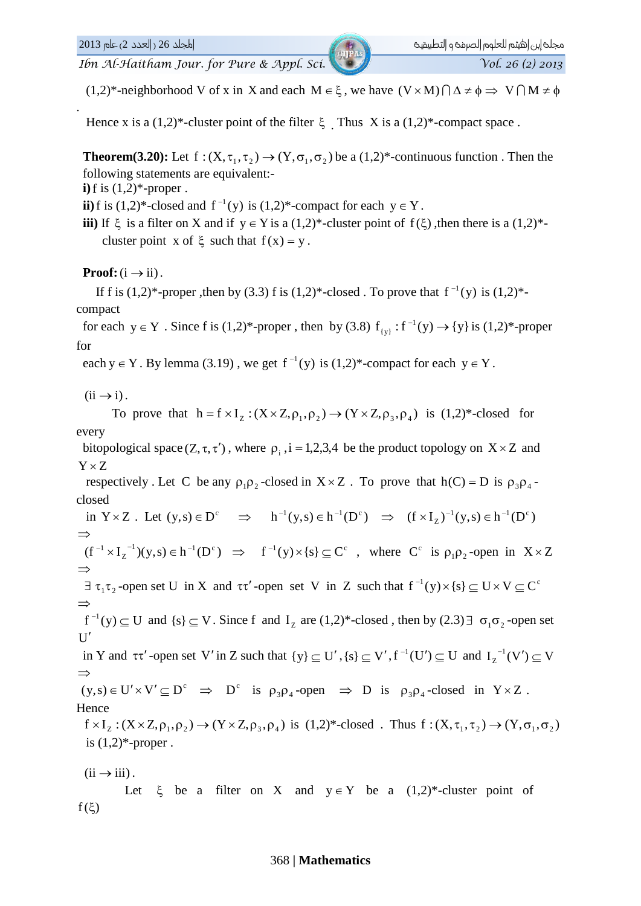Vol. 26 (2) 2013

Ibn Al-Haitham Jour. for Pure & Appl. Sci.

 $(1,2)^*$ -neighborhood V of x in X and each M  $\in \xi$ , we have  $(V \times M) \cap \Delta \neq \phi \Rightarrow V \cap M \neq \phi$ 

Hence x is a  $(1,2)^*$ -cluster point of the filter  $\xi$  Thus X is a  $(1,2)^*$ -compact space.

**Theorem(3.20):** Let  $f:(X, \tau_1, \tau_2) \to (Y, \sigma_1, \sigma_2)$  be a  $(1,2)^*$ -continuous function. Then the following statements are equivalent:-

i) f is  $(1,2)$ \*-proper.

ii) f is  $(1,2)^*$ -closed and  $f^{-1}(y)$  is  $(1,2)^*$ -compact for each  $y \in Y$ .

iii) If  $\xi$  is a filter on X and if  $y \in Y$  is a  $(1,2)^*$ -cluster point of  $f(\xi)$ , then there is a  $(1,2)^*$ cluster point x of  $\xi$  such that  $f(x) = y$ .

### **Proof:**  $(i \rightarrow ii)$ .

If f is  $(1,2)^*$ -proper, then by  $(3.3)$  f is  $(1,2)^*$ -closed. To prove that  $f^{-1}(y)$  is  $(1,2)^*$ compact

for each  $y \in Y$ . Since f is  $(1,2)^*$ -proper, then by  $(3.8)$   $f_{(y)}$ :  $f^{-1}(y) \rightarrow {y}$  is  $(1,2)^*$ -proper for

each  $y \in Y$ . By lemma (3.19), we get  $f^{-1}(y)$  is (1,2)\*-compact for each  $y \in Y$ .

 $(ii \rightarrow i).$ 

To prove that  $h = f \times I_{7} : (X \times Z, \rho_{1}, \rho_{2}) \to (Y \times Z, \rho_{3}, \rho_{4})$  is  $(1,2)^{*}$ -closed for every

bitopological space  $(Z, \tau, \tau')$ , where  $\rho_i$ ,  $i = 1,2,3,4$  be the product topology on  $X \times Z$  and  $Y \times Z$ 

respectively. Let C be any  $\rho_1 \rho_2$ -closed in  $X \times Z$ . To prove that  $h(C) = D$  is  $\rho_3 \rho_4$ closed

$$
\text{in } Y \times Z \text{ . Let } (y, s) \in D^c \implies h^{-1}(y, s) \in h^{-1}(D^c) \implies (f \times I_Z)^{-1}(y, s) \in h^{-1}(D^c)
$$
\n
$$
\implies (f^{-1} \times I_Z^{-1})(y, s) \in h^{-1}(D^c) \implies f^{-1}(y) \times \{s\} \subseteq C^c \text{ , where } C^c \text{ is } \rho_1 \rho_2 \text{-open in } X \times Z
$$
\n
$$
\implies \exists \tau_1 \tau_2 \text{-open set } U \text{ in } X \text{ and } \tau \tau' \text{-open set } V \text{ in } Z \text{ such that } f^{-1}(y) \times \{s\} \subseteq U \times V \subseteq C^c
$$

 $\Rightarrow$  $f^{-1}(y) \subseteq U$  and  $\{s\} \subseteq V$ . Since f and  $I_z$  are  $(1,2)^*$ -closed, then by  $(2.3) \exists \sigma_1 \sigma_2$ -open set  $U'$ 

in Y and  $\tau\tau'$ -open set V' in Z such that  $\{y\} \subset U', \{s\} \subset V', f^{-1}(U') \subset U$  and  $I_{\tau}^{-1}(V') \subset V$  $\Rightarrow$ 

 $(y,s) \in U' \times V' \subseteq D^c \implies D^c$  is  $\rho_3 \rho_4$ -open  $\implies D$  is  $\rho_3 \rho_4$ -closed in  $Y \times Z$ . Hence

 $f \times I_{7} : (X \times Z, \rho_{1}, \rho_{2}) \rightarrow (Y \times Z, \rho_{3}, \rho_{4})$  is  $(1,2)^{*}$ -closed. Thus  $f : (X, \tau_{1}, \tau_{2}) \rightarrow (Y, \sigma_{1}, \sigma_{2})$ is  $(1,2)$ \*-proper.

 $(ii \rightarrow iii)$ . Let  $\xi$  be a filter on X and  $y \in Y$  be a  $(1,2)^*$ -cluster point of  $f(\xi)$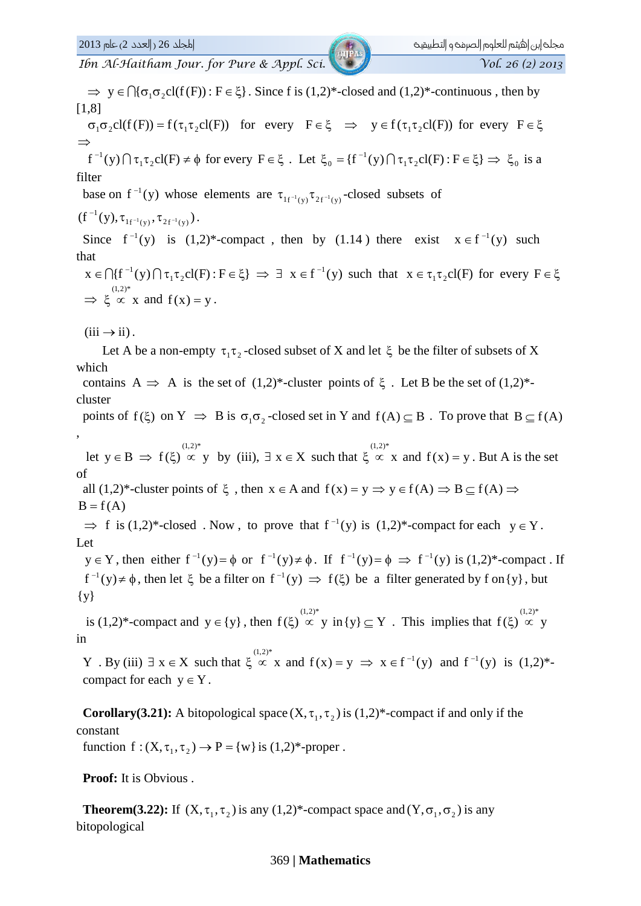*Ibn Al-Haitham Jour. for Pure & Appl. Sci. Vol. 26 (2) 2013* 

 $\Rightarrow$  y  $\in \bigcap {\{\sigma, \sigma, cl(f(F)) : F \in \xi\}}$ . Since f is  $(1,2)^*$ -closed and  $(1,2)^*$ -continuous, then by [1,8]

 $\sigma_1 \sigma_2 \text{cl}(f(F)) = f(\tau_1 \tau_2 \text{cl}(F))$  for every  $F \in \xi \implies y \in f(\tau_1 \tau_2 \text{cl}(F))$  for every  $F \in \xi$ ⇒

 $f^{-1}(y) \bigcap \tau_1 \tau_2 \text{cl}(F) \neq \emptyset$  for every  $F \in \xi$ . Let  $\xi_0 = \{f^{-1}(y) \bigcap \tau_1 \tau_2 \text{cl}(F) : F \in \xi\} \Rightarrow \xi_0$  is a filter

base on  $f^{-1}(y)$  whose elements are  $\tau_{1f^{-1}(y)} \tau_{2f^{-1}(y)}$ -closed subsets of

$$
(f^{-1}(y),\tau_{1f^{-1}(y)},\tau_{2f^{-1}(y)}).
$$

Since  $f^{-1}(y)$  is  $(1,2)^*$ -compact, then by  $(1.14)$  there exist  $x \in f^{-1}(y)$  such that

 $x \in \bigcap \{f^{-1}(y) \cap \tau_1 \tau_2 \text{cl}(F) : F \in \xi \} \implies \exists x \in f^{-1}(y) \text{ such that } x \in \tau_1 \tau_2 \text{cl}(F) \text{ for every } F \in \xi$  $\Rightarrow \xi \propto x$  and  $f(x) = y$ .

 $(iii \rightarrow ii)$ .

Let A be a non-empty  $\tau_1 \tau_2$ -closed subset of X and let  $\xi$  be the filter of subsets of X which

contains A  $\Rightarrow$  A is the set of  $(1,2)^*$ -cluster points of  $\xi$ . Let B be the set of  $(1,2)^*$ cluster

points of f(ξ) on Y  $\Rightarrow$  B is  $\sigma_1 \sigma_2$ -closed set in Y and f(A)  $\subseteq$  B. To prove that B  $\subseteq$  f(A) ,

let  $y \in B \implies f(\xi) \propto y$  by (iii),  $\exists x \in X$  such that  $\xi \propto x$  and  $f(x) = y$ . But A is the set of

all  $(1,2)^*$ -cluster points of  $\xi$ , then  $x \in A$  and  $f(x) = y \implies y \in f(A) \implies B \subset f(A) \implies$  $B = f(A)$ 

 $\Rightarrow$  f is (1,2)\*-closed. Now, to prove that f<sup>-1</sup>(y) is (1,2)\*-compact for each y  $\in$  Y. Let

 $y \in Y$ , then either  $f^{-1}(y) = \phi$  or  $f^{-1}(y) \neq \phi$ . If  $f^{-1}(y) = \phi \Rightarrow f^{-1}(y)$  is  $(1,2)^*$ -compact. If  $f^{-1}(y) \neq \phi$ , then let  $\xi$  be a filter on  $f^{-1}(y) \Rightarrow f(\xi)$  be a filter generated by f on{y}, but  $\{y\}$ 

is  $(1,2)^*$ -compact and  $y \in \{y\}$ , then  $f(\xi) \propto y$  in  $\{y\} \subseteq Y$ . This implies that  $f(\xi) \propto y$ in

Y . By (iii)  $\exists x \in X$  such that  $\xi \propto x$  and  $f(x) = y \implies x \in f^{-1}(y)$  and  $f^{-1}(y)$  is  $(1,2)^*$ compact for each  $y \in Y$ .

**Corollary(3.21):** A bitopological space  $(X, \tau_1, \tau_2)$  is  $(1,2)^*$ -compact if and only if the constant

function  $f: (X, \tau_1, \tau_2) \to P = \{w\}$  is  $(1,2)^*$ -proper.

 **Proof:** It is Obvious .

**Theorem(3.22):** If  $(X, \tau_1, \tau_2)$  is any  $(1,2)^*$ -compact space and  $(Y, \sigma_1, \sigma_2)$  is any bitopological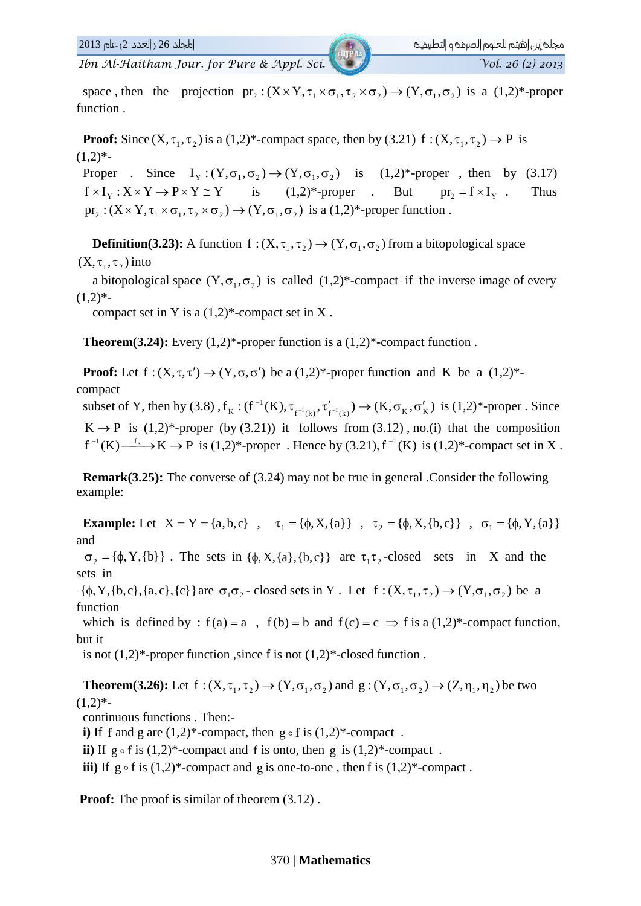#### |لطجلد 26 (العدد 2) عام 2013

space, then the projection  $pr_2$ :  $(X \times Y, \tau_1 \times \sigma_1, \tau_2 \times \sigma_2) \rightarrow (Y, \sigma_1, \sigma_2)$  is a  $(1,2)^*$ -proper function.

**Proof:** Since  $(X, \tau_1, \tau_2)$  is a  $(1,2)^*$ -compact space, then by  $(3.21)$  f:  $(X, \tau_1, \tau_2) \rightarrow P$  is  $(1,2)^{*}$ -

Proper . Since  $I_Y$ :  $(Y, \sigma_1, \sigma_2) \rightarrow (Y, \sigma_1, \sigma_2)$  is  $(1,2)^*$ -proper , then by  $(3.17)$  $f \times I_v : X \times Y \to P \times Y \cong Y$  is  $(1,2)^*$ -proper . But  $pr_2 = f \times I_v$ . Thus  $pr_2$ :  $(X \times Y, \tau_1 \times \sigma_1, \tau_2 \times \sigma_2) \rightarrow (Y, \sigma_1, \sigma_2)$  is a  $(1,2)^*$ -proper function.

**Definition**(3.23): A function  $f:(X, \tau_1, \tau_2) \to (Y, \sigma_1, \sigma_2)$  from a bitopological space  $(X, \tau_1, \tau_2)$  into

a bitopological space  $(Y, \sigma_1, \sigma_2)$  is called  $(1,2)^*$ -compact if the inverse image of every  $(1,2)^{*}$ -

compact set in Y is a  $(1,2)^*$ -compact set in X.

**Theorem (3.24):** Every  $(1,2)^*$ -proper function is a  $(1,2)^*$ -compact function.

**Proof:** Let  $f:(X, \tau, \tau') \rightarrow (Y, \sigma, \sigma')$  be a  $(1,2)^*$ -proper function and K be a  $(1,2)^*$ compact

subset of Y, then by (3.8),  $f_K: (f^{-1}(K), \tau_{f^{-1}(k)}, \tau'_{f^{-1}(k)}) \to (K, \sigma_K, \sigma'_K)$  is (1,2)\*-proper. Since  $K \rightarrow P$  is (1,2)\*-proper (by (3.21)) it follows from (3.12), no.(i) that the composition  $f^{-1}(K) \xrightarrow{f_K} K \to P$  is  $(1,2)^*$ -proper. Hence by  $(3.21), f^{-1}(K)$  is  $(1,2)^*$ -compact set in X.

**Remark(3.25):** The converse of  $(3.24)$  may not be true in general . Consider the following example:

**Example:** Let  $X = Y = \{a, b, c\}$ ,  $\tau_1 = \{\phi, X, \{a\}\}\$ ,  $\tau_2 = \{\phi, X, \{b, c\}\}\$ ,  $\sigma_1 = \{\phi, Y, \{a\}\}\$ and

 $\sigma_2 = {\phi, Y, \{b\}}$ . The sets in  ${\phi, X, \{a\}, \{b, c\}}$  are  $\tau_1 \tau_2$ -closed sets in X and the sets in

 $\{\phi, Y, \{b, c\}, \{a, c\}, \{c\}\}\$ are  $\sigma_1\sigma_2$ -closed sets in Y. Let  $f:(X, \tau_1, \tau_2) \rightarrow (Y, \sigma_1, \sigma_2)$  be a function

which is defined by:  $f(a) = a$ ,  $f(b) = b$  and  $f(c) = c \implies f$  is a  $(1,2)^*$ -compact function, but it

is not  $(1.2)^*$ -proper function since f is not  $(1.2)^*$ -closed function.

**Theorem(3.26):** Let  $f:(X, \tau_1, \tau_2) \to (Y, \sigma_1, \sigma_2)$  and  $g:(Y, \sigma_1, \sigma_2) \to (Z, \eta_1, \eta_2)$  be two  $(1.2)$ \*-

continuous functions. Then:-

i) If f and g are  $(1,2)^*$ -compact, then  $g \circ f$  is  $(1,2)^*$ -compact.

ii) If  $g \circ f$  is  $(1,2)^*$ -compact and f is onto, then g is  $(1,2)^*$ -compact.

iii) If  $g \circ f$  is  $(1,2)^*$ -compact and g is one-to-one, then f is  $(1,2)^*$ -compact.

**Proof:** The proof is similar of theorem  $(3.12)$ .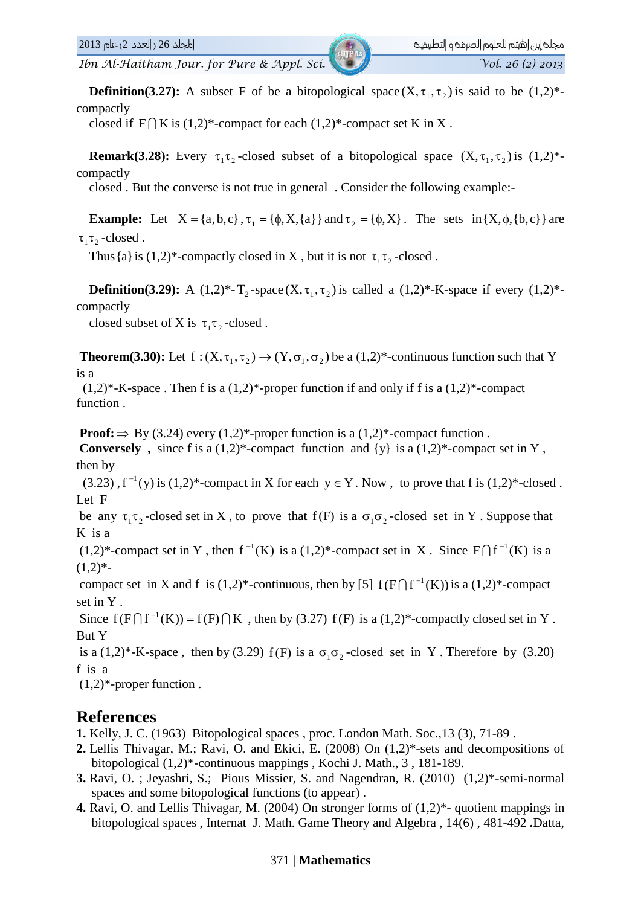**Definition**(3.27): A subset F of be a bitopological space  $(X, \tau_1, \tau_2)$  is said to be  $(1,2)^*$ compactly

closed if  $F \cap K$  is  $(1,2)^*$ -compact for each  $(1,2)^*$ -compact set K in X.

**Remark(3.28):** Every  $\tau_1 \tau_2$ -closed subset of a bitopological space  $(X, \tau_1, \tau_2)$  is  $(1,2)^*$ compactly

closed. But the converse is not true in general. Consider the following example:-

**Example:** Let  $X = \{a, b, c\}$ ,  $\tau_1 = \{\phi, X, \{a\}\}\$ and  $\tau_2 = \{\phi, X\}$ . The sets in  $\{X, \phi, \{b, c\}\}$  are  $\tau_1 \tau_2$ -closed.

Thus {a} is (1,2)\*-compactly closed in X, but it is not  $\tau_1 \tau_2$ -closed.

**Definition(3.29):** A (1,2)\*-T<sub>2</sub>-space(X,  $\tau_1$ ,  $\tau_2$ ) is called a (1,2)\*-K-space if every (1,2)\*compactly

closed subset of X is  $\tau_1 \tau_2$ -closed.

**Theorem(3.30):** Let  $f:(X, \tau_1, \tau_2) \to (Y, \sigma_1, \sigma_2)$  be a  $(1,2)^*$ -continuous function such that Y is a

 $(1,2)^*$ -K-space. Then f is a  $(1,2)^*$ -proper function if and only if f is a  $(1,2)^*$ -compact function.

**Proof:**  $\Rightarrow$  By (3.24) every (1,2)\*-proper function is a (1,2)\*-compact function.

**Conversely**, since f is a  $(1,2)^*$ -compact function and  $\{y\}$  is a  $(1,2)^*$ -compact set in Y, then by

 $(3.23)$ ,  $f^{-1}(y)$  is  $(1,2)^*$ -compact in X for each  $y \in Y$ . Now, to prove that f is  $(1,2)^*$ -closed. Let F

be any  $\tau_1 \tau_2$ -closed set in X, to prove that  $f(F)$  is a  $\sigma_1 \sigma_2$ -closed set in Y. Suppose that K is a

 $(1,2)^*$ -compact set in Y, then  $f^{-1}(K)$  is a  $(1,2)^*$ -compact set in X. Since  $F \cap f^{-1}(K)$  is a  $(1,2)^{*}$ -

compact set in X and f is  $(1,2)^*$ -continuous, then by [5]  $f(F \cap f^{-1}(K))$  is a  $(1,2)^*$ -compact set in Y.

Since  $f(F \cap f^{-1}(K)) = f(F) \cap K$ , then by (3.27)  $f(F)$  is a (1,2)\*-compactly closed set in Y. **But Y** 

is a  $(1,2)^*$ -K-space, then by (3.29) f(F) is a  $\sigma_1 \sigma_2$ -closed set in Y. Therefore by (3.20) f is a

 $(1,2)^*$ -proper function.

### **References**

- 1. Kelly, J. C. (1963) Bitopological spaces, proc. London Math. Soc., 13 (3), 71-89.
- 2. Lellis Thivagar, M.; Ravi, O. and Ekici, E. (2008) On  $(1,2)^*$ -sets and decompositions of bitopological  $(1,2)^*$ -continuous mappings, Kochi J. Math., 3, 181-189.
- 3. Ravi, O.; Jeyashri, S.; Pious Missier, S. and Nagendran, R. (2010) (1,2)\*-semi-normal spaces and some bitopological functions (to appear).
- 4. Ravi, O. and Lellis Thivagar, M. (2004) On stronger forms of  $(1,2)^*$  quotient mappings in bitopological spaces, Internat J. Math. Game Theory and Algebra, 14(6), 481-492. Datta,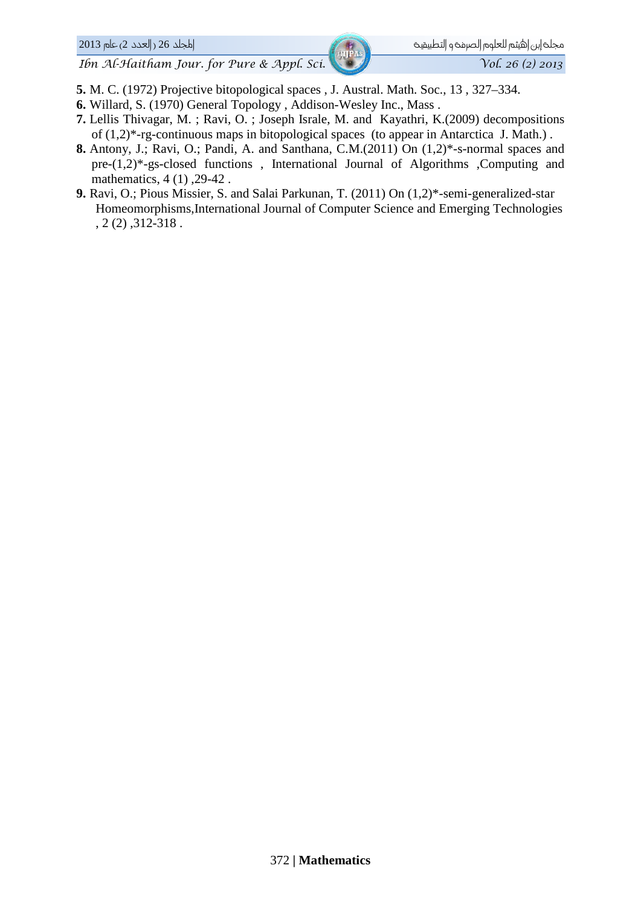|لمجلد 26 (العدد 2) عام 2013

- 5. M. C. (1972) Projective bitopological spaces, J. Austral. Math. Soc., 13, 327-334.
- 6. Willard, S. (1970) General Topology, Addison-Wesley Inc., Mass.
- 7. Lellis Thivagar, M.; Ravi, O.; Joseph Israle, M. and Kayathri, K.(2009) decompositions of  $(1,2)^*$ -rg-continuous maps in bitopological spaces (to appear in Antarctica J. Math.).
- 8. Antony, J.; Ravi, O.; Pandi, A. and Santhana, C.M.(2011) On (1,2)\*-s-normal spaces and pre- $(1,2)^*$ -gs-closed functions, International Journal of Algorithms, Computing and mathematics, 4 (1), 29-42.
- 9. Ravi, O.; Pious Missier, S. and Salai Parkunan, T. (2011) On (1,2)\*-semi-generalized-star Homeomorphisms, International Journal of Computer Science and Emerging Technologies  $, 2(2)$ , 312-318.